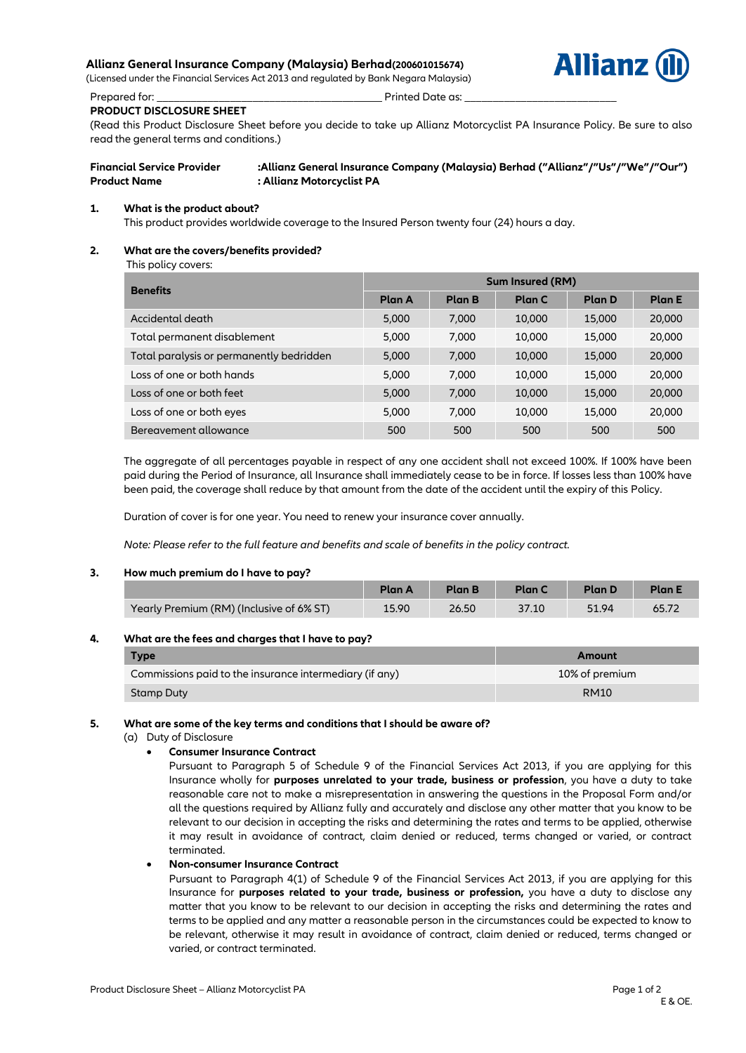## **Allianz General Insurance Company (Malaysia) Berhad(200601015674)**

(Licensed under the Financial Services Act 2013 and regulated by Bank Negara Malaysia)



Prepared for: \_\_\_\_\_\_\_\_\_\_\_\_\_\_\_\_\_\_\_\_\_\_\_\_\_\_\_\_\_\_\_\_\_\_\_\_\_\_\_\_ Printed Date as: \_\_\_\_\_\_\_\_\_\_\_\_\_\_\_\_\_\_\_\_\_\_\_\_\_\_\_

### **PRODUCT DISCLOSURE SHEET**

(Read this Product Disclosure Sheet before you decide to take up Allianz Motorcyclist PA Insurance Policy. Be sure to also read the general terms and conditions.)

| <b>Financial Service Provider</b> | :Allianz General Insurance Company (Malaysia) Berhad ("Allianz"/"Us"/"We"/"Our") |
|-----------------------------------|----------------------------------------------------------------------------------|
| <b>Product Name</b>               | : Allianz Motorcyclist PA                                                        |

## **1. What is the product about?**

This product provides worldwide coverage to the Insured Person twenty four (24) hours a day.

# **2. What are the covers/benefits provided?**

This policy covers:

| <b>Benefits</b>                          | Sum Insured (RM) |        |        |               |               |  |
|------------------------------------------|------------------|--------|--------|---------------|---------------|--|
|                                          | Plan A           | Plan B | Plan C | <b>Plan D</b> | <b>Plan E</b> |  |
| Accidental death                         | 5,000            | 7,000  | 10,000 | 15,000        | 20,000        |  |
| Total permanent disablement              | 5,000            | 7,000  | 10,000 | 15,000        | 20,000        |  |
| Total paralysis or permanently bedridden | 5,000            | 7,000  | 10,000 | 15,000        | 20,000        |  |
| Loss of one or both hands                | 5,000            | 7,000  | 10,000 | 15,000        | 20,000        |  |
| Loss of one or both feet                 | 5,000            | 7,000  | 10,000 | 15,000        | 20,000        |  |
| Loss of one or both eyes                 | 5,000            | 7,000  | 10,000 | 15,000        | 20,000        |  |
| Bereavement allowance                    | 500              | 500    | 500    | 500           | 500           |  |

The aggregate of all percentages payable in respect of any one accident shall not exceed 100%. If 100% have been paid during the Period of Insurance, all Insurance shall immediately cease to be in force. If losses less than 100% have been paid, the coverage shall reduce by that amount from the date of the accident until the expiry of this Policy.

Duration of cover is for one year. You need to renew your insurance cover annually.

*Note: Please refer to the full feature and benefits and scale of benefits in the policy contract.*

### **3. How much premium do I have to pay?**

|                                          | <b>Plan A</b> | <b>Plan B</b> | <b>Plan C</b> | <b>Plan D</b> | <b>Plan E</b> |
|------------------------------------------|---------------|---------------|---------------|---------------|---------------|
| Yearly Premium (RM) (Inclusive of 6% ST) | 15.90         | 26.50         | 37.10         | 51.94         | 65.72         |

### **4. What are the fees and charges that I have to pay?**

| <b>Type</b>                                             | Amount         |
|---------------------------------------------------------|----------------|
| Commissions paid to the insurance intermediary (if any) | 10% of premium |
| Stamp Duty                                              | <b>RM10</b>    |

### **5. What are some of the key terms and conditions that I should be aware of?**

### (a) Duty of Disclosure

### **Consumer Insurance Contract**

Pursuant to Paragraph 5 of Schedule 9 of the Financial Services Act 2013, if you are applying for this Insurance wholly for **purposes unrelated to your trade, business or profession**, you have a duty to take reasonable care not to make a misrepresentation in answering the questions in the Proposal Form and/or all the questions required by Allianz fully and accurately and disclose any other matter that you know to be relevant to our decision in accepting the risks and determining the rates and terms to be applied, otherwise it may result in avoidance of contract, claim denied or reduced, terms changed or varied, or contract terminated.

### **Non-consumer Insurance Contract**

Pursuant to Paragraph 4(1) of Schedule 9 of the Financial Services Act 2013, if you are applying for this Insurance for **purposes related to your trade, business or profession,** you have a duty to disclose any matter that you know to be relevant to our decision in accepting the risks and determining the rates and terms to be applied and any matter a reasonable person in the circumstances could be expected to know to be relevant, otherwise it may result in avoidance of contract, claim denied or reduced, terms changed or varied, or contract terminated.